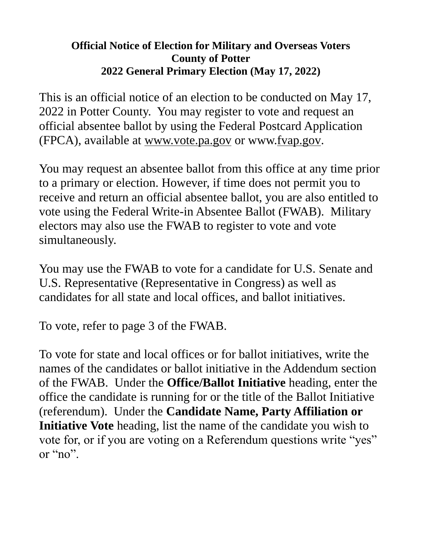## **Official Notice of Election for Military and Overseas Voters County of Potter 2022 General Primary Election (May 17, 2022)**

This is an official notice of an election to be conducted on May 17, 2022 in Potter County. You may register to vote and request an official absentee ballot by using the Federal Postcard Application (FPCA), available at www.vote.pa.gov or www.fvap.gov.

You may request an absentee ballot from this office at any time prior to a primary or election. However, if time does not permit you to receive and return an official absentee ballot, you are also entitled to vote using the Federal Write-in Absentee Ballot (FWAB). Military electors may also use the FWAB to register to vote and vote simultaneously.

You may use the FWAB to vote for a candidate for U.S. Senate and U.S. Representative (Representative in Congress) as well as candidates for all state and local offices, and ballot initiatives.

To vote, refer to page 3 of the FWAB.

To vote for state and local offices or for ballot initiatives, write the names of the candidates or ballot initiative in the Addendum section of the FWAB. Under the **Office/Ballot Initiative** heading, enter the office the candidate is running for or the title of the Ballot Initiative (referendum). Under the **Candidate Name, Party Affiliation or Initiative Vote** heading, list the name of the candidate you wish to vote for, or if you are voting on a Referendum questions write "yes" or "no".